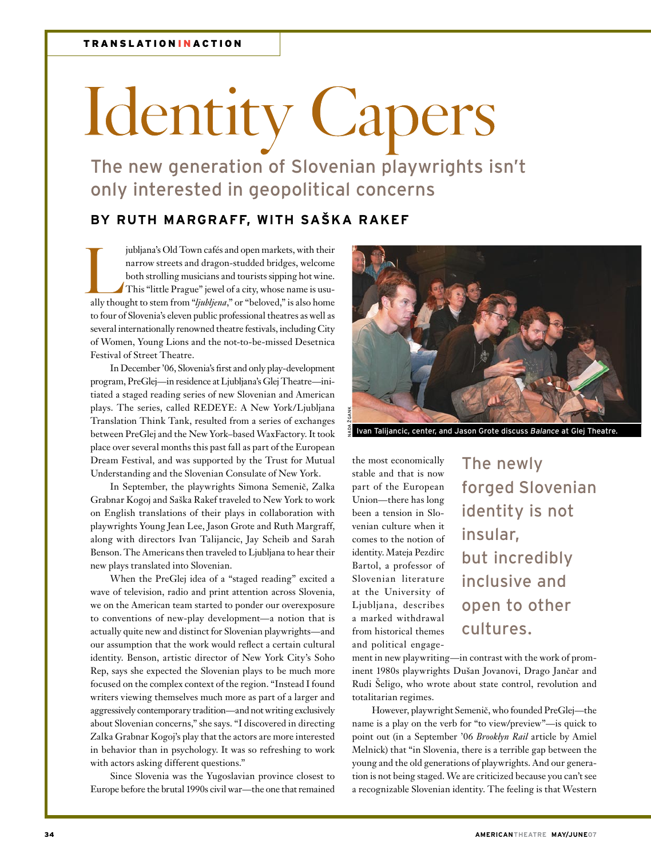## **Identity Capers**

The new generation of Slovenian playwrights isn't only interested in geopolitical concerns

## **By Ruth Margraff, with Saška Rakef**

jubljana's Old Town cafés and open markets, with their narrow streets and dragon-studded bridges, welcome both strolling musicians and tourists sipping hot wine. This "little Prague" jewel of a city, whose name is usually thought to stem from "*ljubljena*," or "beloved," is also home to four of Slovenia's eleven public professional theatres as well as several internationally renowned theatre festivals, including City of Women, Young Lions and the not-to-be-missed Desetnica Festival of Street Theatre.

In December '06, Slovenia's first and only play-development program, PreGlej—in residence at Ljubljana's Glej Theatre—initiated a staged reading series of new Slovenian and American plays. The series, called REDEYE: A New York/Ljubljana Translation Think Tank, resulted from a series of exchanges between PreGlej and the New York–based WaxFactory. It took place over several months this past fall as part of the European Dream Festival, and was supported by the Trust for Mutual Understanding and the Slovenian Consulate of New York.

In September, the playwrights Simona Semenič, Zalka Grabnar Kogoj and Saška Rakef traveled to New York to work on English translations of their plays in collaboration with playwrights Young Jean Lee, Jason Grote and Ruth Margraff, along with directors Ivan Talijancic, Jay Scheib and Sarah Benson. The Americans then traveled to Ljubljana to hear their new plays translated into Slovenian.

When the PreGlej idea of a "staged reading" excited a wave of television, radio and print attention across Slovenia, we on the American team started to ponder our overexposure to conventions of new-play development—a notion that is actually quite new and distinct for Slovenian playwrights—and our assumption that the work would reflect a certain cultural identity. Benson, artistic director of New York City's Soho Rep, says she expected the Slovenian plays to be much more focused on the complex context of the region. "Instead I found writers viewing themselves much more as part of a larger and aggressively contemporary tradition—and not writing exclusively about Slovenian concerns," she says. "I discovered in directing Zalka Grabnar Kogoj's play that the actors are more interested in behavior than in psychology. It was so refreshing to work with actors asking different questions."

Since Slovenia was the Yugoslavian province closest to Europe before the brutal 1990s civil war—the one that remained



Ivan Talijancic, center, and Jason Grote discuss *Balance* at Glej Theatre.

the most economically stable and that is now part of the European Union—there has long been a tension in Slovenian culture when it comes to the notion of identity. Mateja Pezdirc Bartol, a professor of Slovenian literature at the University of Ljubljana, describes a marked withdrawal from historical themes and political engage-

The newly forged Slovenian identity is not insular, but incredibly inclusive and open to other cultures.

ment in new playwriting—in contrast with the work of prominent 1980s playwrights Dušan Jovanovi, Drago Jančar and Rudi Šeligo, who wrote about state control, revolution and totalitarian regimes.

However, playwright Semenič, who founded PreGlej—the name is a play on the verb for "to view/preview"—is quick to point out (in a September '06 *Brooklyn Rail* article by Amiel Melnick) that "in Slovenia, there is a terrible gap between the young and the old generations of playwrights. And our generation is not being staged. We are criticized because you can't see a recognizable Slovenian identity. The feeling is that Western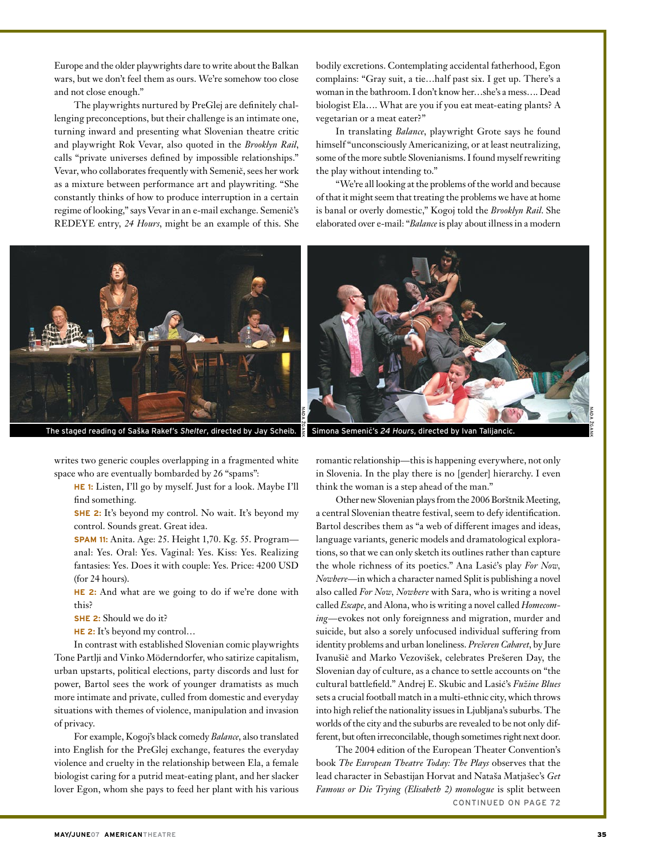Europe and the older playwrights dare to write about the Balkan wars, but we don't feel them as ours. We're somehow too close and not close enough."

The playwrights nurtured by PreGlej are definitely challenging preconceptions, but their challenge is an intimate one, turning inward and presenting what Slovenian theatre critic and playwright Rok Vevar, also quoted in the *Brooklyn Rail*, calls "private universes defined by impossible relationships." Vevar, who collaborates frequently with Semenič, sees her work as a mixture between performance art and playwriting. "She constantly thinks of how to produce interruption in a certain regime of looking," says Vevar in an e-mail exchange. Semenič's REDEYE entry, *24 Hours*, might be an example of this. She



writes two generic couples overlapping in a fragmented white space who are eventually bombarded by 26 "spams":

**HE 1:** Listen, I'll go by myself. Just for a look. Maybe I'll find something.

**SHE 2:** It's beyond my control. No wait. It's beyond my control. Sounds great. Great idea.

**SPAM 11:** Anita. Age: 25. Height 1,70. Kg. 55. Program anal: Yes. Oral: Yes. Vaginal: Yes. Kiss: Yes. Realizing fantasies: Yes. Does it with couple: Yes. Price: 4200 USD (for 24 hours).

**HE 2:** And what are we going to do if we're done with this?

**SHE 2:** Should we do it?

**HE 2:** It's beyond my control…

In contrast with established Slovenian comic playwrights Tone Partlji and Vinko Möderndorfer, who satirize capitalism, urban upstarts, political elections, party discords and lust for power, Bartol sees the work of younger dramatists as much more intimate and private, culled from domestic and everyday situations with themes of violence, manipulation and invasion of privacy.

For example, Kogoj's black comedy *Balance*, also translated into English for the PreGlej exchange, features the everyday violence and cruelty in the relationship between Ela, a female biologist caring for a putrid meat-eating plant, and her slacker lover Egon, whom she pays to feed her plant with his various

bodily excretions. Contemplating accidental fatherhood, Egon complains: "Gray suit, a tie…half past six. I get up. There's a woman in the bathroom. I don't know her…she's a mess…. Dead biologist Ela…. What are you if you eat meat-eating plants? A vegetarian or a meat eater?"

In translating *Balance*, playwright Grote says he found himself "unconsciously Americanizing, or at least neutralizing, some of the more subtle Slovenianisms. I found myself rewriting the play without intending to."

"We're all looking at the problems of the world and because of that it might seem that treating the problems we have at home is banal or overly domestic," Kogoj told the *Brooklyn Rail*. She elaborated over e-mail: "*Balance* is play about illness in a modern



romantic relationship—this is happening everywhere, not only in Slovenia. In the play there is no [gender] hierarchy. I even think the woman is a step ahead of the man."

Other new Slovenian plays from the 2006 Borštnik Meeting, a central Slovenian theatre festival, seem to defy identification. Bartol describes them as "a web of different images and ideas, language variants, generic models and dramatological explorations, so that we can only sketch its outlines rather than capture the whole richness of its poetics." Ana Lasić's play *For Now, Nowhere*—in which a character named Split is publishing a novel also called *For Now, Nowhere* with Sara, who is writing a novel called *Escape*, and Alona, who is writing a novel called *Homecoming*—evokes not only foreignness and migration, murder and suicide, but also a sorely unfocused individual suffering from identity problems and urban loneliness. *Prešeren Cabaret*, by Jure Ivanušič and Marko Vezovišek, celebrates Prešeren Day, the Slovenian day of culture, as a chance to settle accounts on "the cultural battlefield." Andrej E. Skubic and Lasić's *Fužine Blues* sets a crucial football match in a multi-ethnic city, which throws into high relief the nationality issues in Ljubljana's suburbs. The worlds of the city and the suburbs are revealed to be not only different, but often irreconcilable, though sometimes right next door.

The 2004 edition of the European Theater Convention's book *The European Theatre Today: The Plays* observes that the lead character in Sebastijan Horvat and Nataša Matjašec's *Get Famous or Die Trying (Elisabeth 2) monologue* is split between continued on page 72